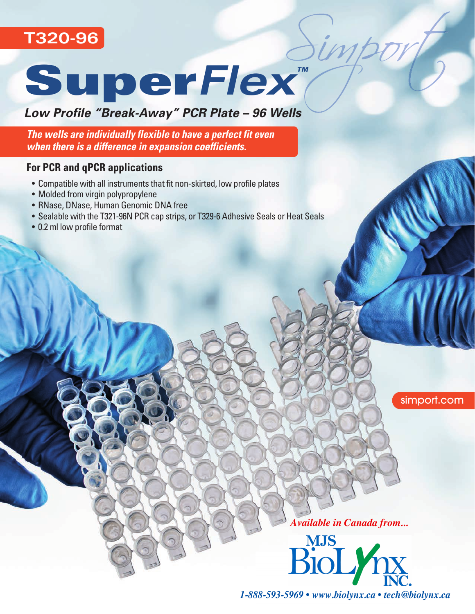



## *Low Profile "Break-Away" PCR Plate – 96 Wells*

*The wells are individually flexible to have a perfect fit even when there is a difference in expansion coefficients.* 

### **For PCR and qPCR applications**

- Compatible with all instruments that fit non-skirted, low profile plates
- Molded from virgin polypropylene
- RNase, DNase, Human Genomic DNA free
- Sealable with the T321-96N PCR cap strips, or T329-6 Adhesive Seals or Heat Seals
- 0.2 ml low profile format

simport.com



*1-888-593-5969 • www.biolynx.ca • tech@biolynx.ca*